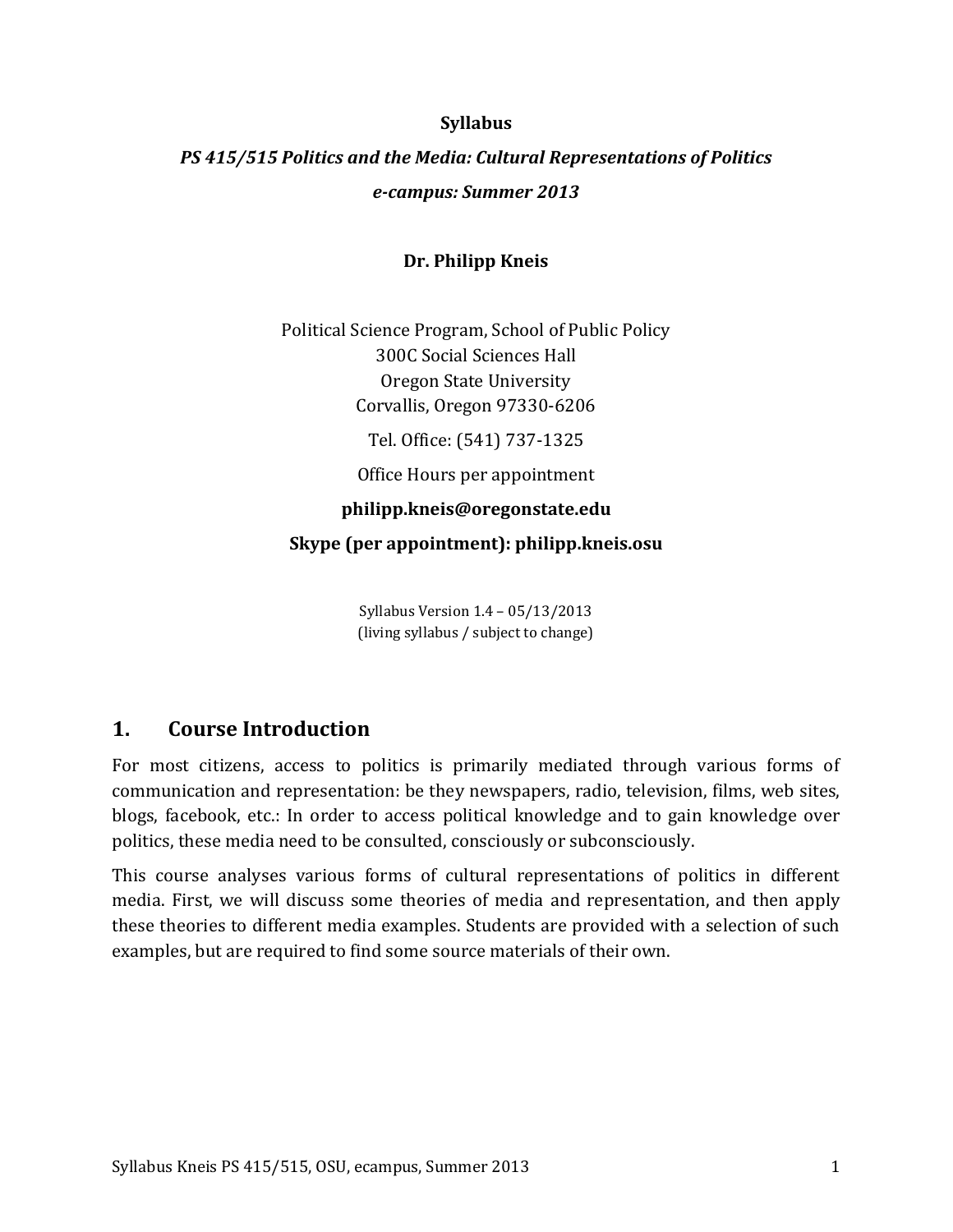### **Syllabus**

# *PS 415/515 Politics and the Media: Cultural Representations of Politics e-campus: Summer 2013*

### **Dr. Philipp Kneis**

Political Science Program, School of Public Policy 300C Social Sciences Hall Oregon State University Corvallis, Oregon 97330-6206

Tel. Office: (541) 737-1325

Office Hours per appointment

**philipp.kneis@oregonstate.edu**

**Skype (per appointment): philipp.kneis.osu**

Syllabus Version 1.4 – 05/13/2013 (living syllabus / subject to change)

# **1. Course Introduction**

For most citizens, access to politics is primarily mediated through various forms of communication and representation: be they newspapers, radio, television, films, web sites, blogs, facebook, etc.: In order to access political knowledge and to gain knowledge over politics, these media need to be consulted, consciously or subconsciously.

This course analyses various forms of cultural representations of politics in different media. First, we will discuss some theories of media and representation, and then apply these theories to different media examples. Students are provided with a selection of such examples, but are required to find some source materials of their own.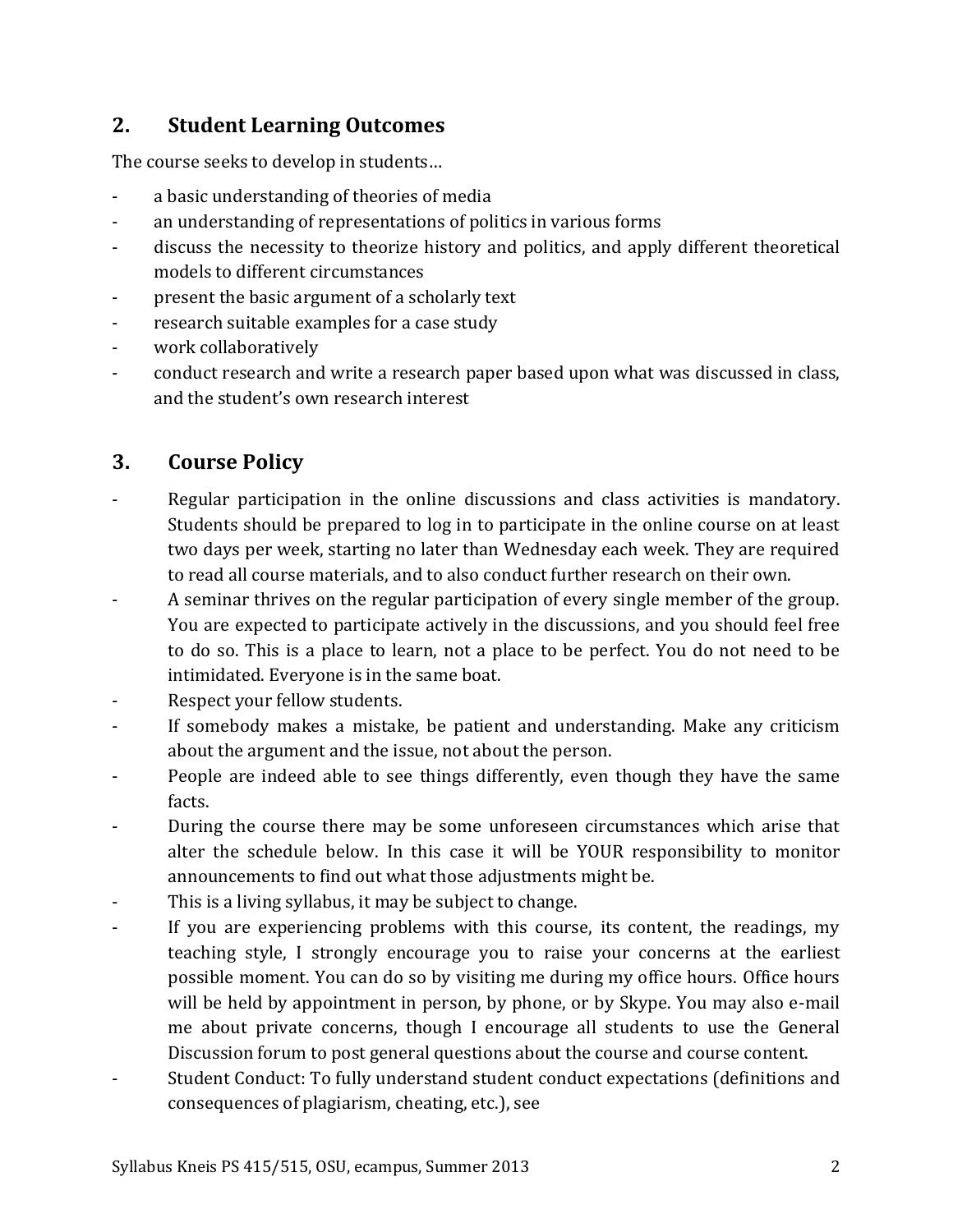# **2. Student Learning Outcomes**

The course seeks to develop in students…

- a basic understanding of theories of media
- an understanding of representations of politics in various forms
- discuss the necessity to theorize history and politics, and apply different theoretical models to different circumstances
- present the basic argument of a scholarly text
- research suitable examples for a case study
- work collaboratively
- conduct research and write a research paper based upon what was discussed in class, and the student's own research interest

# **3. Course Policy**

- Regular participation in the online discussions and class activities is mandatory. Students should be prepared to log in to participate in the online course on at least two days per week, starting no later than Wednesday each week. They are required to read all course materials, and to also conduct further research on their own.
- A seminar thrives on the regular participation of every single member of the group. You are expected to participate actively in the discussions, and you should feel free to do so. This is a place to learn, not a place to be perfect. You do not need to be intimidated. Everyone is in the same boat.
- Respect your fellow students.
- If somebody makes a mistake, be patient and understanding. Make any criticism about the argument and the issue, not about the person.
- People are indeed able to see things differently, even though they have the same facts.
- During the course there may be some unforeseen circumstances which arise that alter the schedule below. In this case it will be YOUR responsibility to monitor announcements to find out what those adjustments might be.
- This is a living syllabus, it may be subject to change.
- If you are experiencing problems with this course, its content, the readings, my teaching style, I strongly encourage you to raise your concerns at the earliest possible moment. You can do so by visiting me during my office hours. Office hours will be held by appointment in person, by phone, or by Skype. You may also e-mail me about private concerns, though I encourage all students to use the General Discussion forum to post general questions about the course and course content.
- Student Conduct: To fully understand student conduct expectations (definitions and consequences of plagiarism, cheating, etc.), see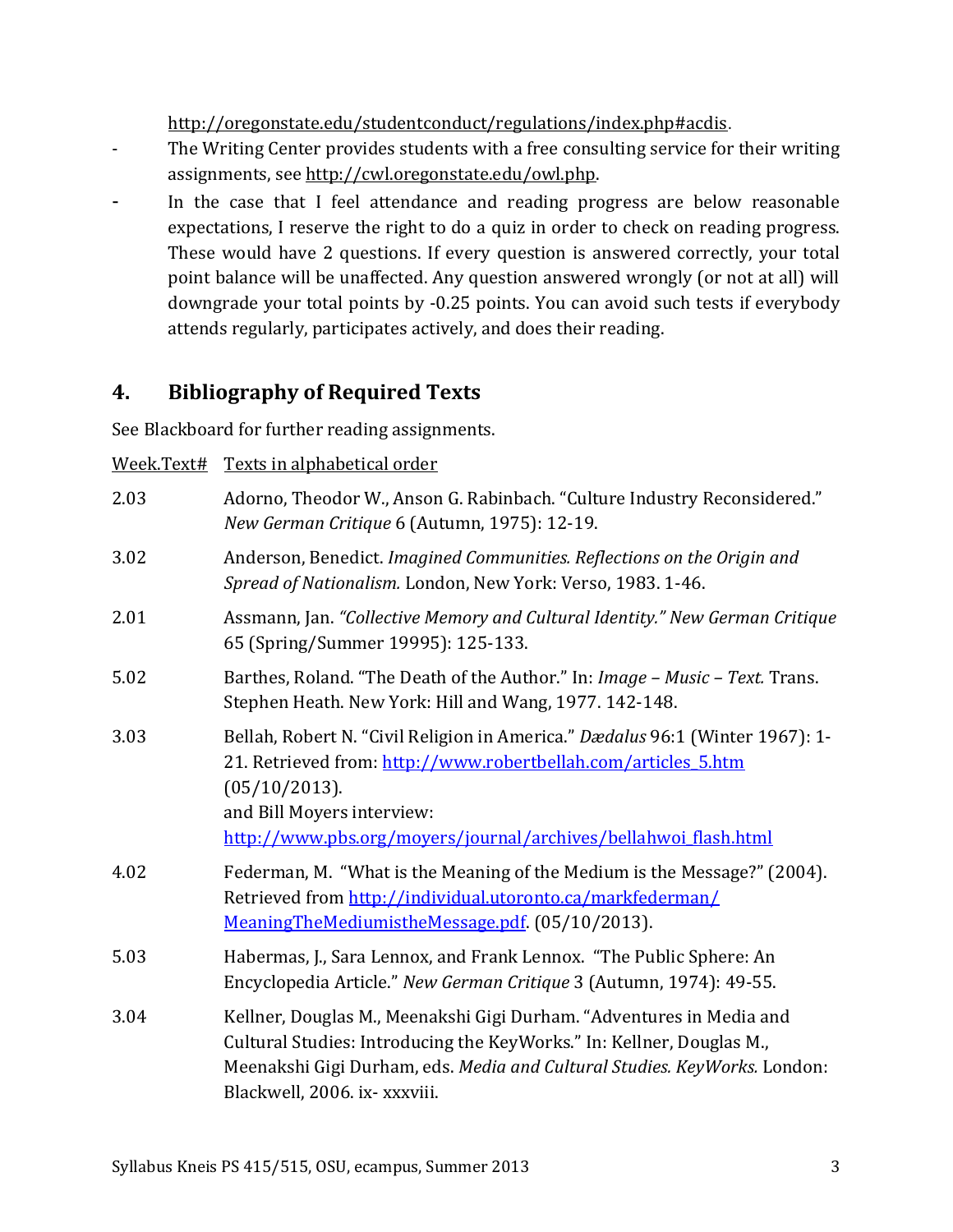<http://oregonstate.edu/studentconduct/regulations/index.php#acdis>.

- The Writing Center provides students with a free consulting service for their writing assignments, see [http://cwl.oregonstate.edu/owl.php.](http://cwl.oregonstate.edu/owl.php)
- In the case that I feel attendance and reading progress are below reasonable expectations, I reserve the right to do a quiz in order to check on reading progress. These would have 2 questions. If every question is answered correctly, your total point balance will be unaffected. Any question answered wrongly (or not at all) will downgrade your total points by -0.25 points. You can avoid such tests if everybody attends regularly, participates actively, and does their reading.

# **4. Bibliography of Required Texts**

See Blackboard for further reading assignments.

Week.Text# Texts in alphabetical order

| 2.03 | Adorno, Theodor W., Anson G. Rabinbach. "Culture Industry Reconsidered."<br>New German Critique 6 (Autumn, 1975): 12-19.                                                                                                                                          |  |  |  |  |
|------|-------------------------------------------------------------------------------------------------------------------------------------------------------------------------------------------------------------------------------------------------------------------|--|--|--|--|
| 3.02 | Anderson, Benedict. Imagined Communities. Reflections on the Origin and<br>Spread of Nationalism. London, New York: Verso, 1983. 1-46.                                                                                                                            |  |  |  |  |
| 2.01 | Assmann, Jan. "Collective Memory and Cultural Identity." New German Critique<br>65 (Spring/Summer 19995): 125-133.                                                                                                                                                |  |  |  |  |
| 5.02 | Barthes, Roland. "The Death of the Author." In: Image - Music - Text. Trans.<br>Stephen Heath. New York: Hill and Wang, 1977. 142-148.                                                                                                                            |  |  |  |  |
| 3.03 | Bellah, Robert N. "Civil Religion in America." Dædalus 96:1 (Winter 1967): 1-<br>21. Retrieved from: http://www.robertbellah.com/articles 5.htm<br>(05/10/2013).<br>and Bill Moyers interview:<br>http://www.pbs.org/moyers/journal/archives/bellahwoi_flash.html |  |  |  |  |
| 4.02 | Federman, M. "What is the Meaning of the Medium is the Message?" (2004).<br>Retrieved from http://individual.utoronto.ca/markfederman/<br>MeaningTheMediumistheMessage.pdf. (05/10/2013).                                                                         |  |  |  |  |
| 5.03 | Habermas, J., Sara Lennox, and Frank Lennox. "The Public Sphere: An<br>Encyclopedia Article." New German Critique 3 (Autumn, 1974): 49-55.                                                                                                                        |  |  |  |  |
| 3.04 | Kellner, Douglas M., Meenakshi Gigi Durham. "Adventures in Media and<br>Cultural Studies: Introducing the KeyWorks." In: Kellner, Douglas M.,<br>Meenakshi Gigi Durham, eds. Media and Cultural Studies. KeyWorks. London:<br>Blackwell, 2006. ix- xxxviii.       |  |  |  |  |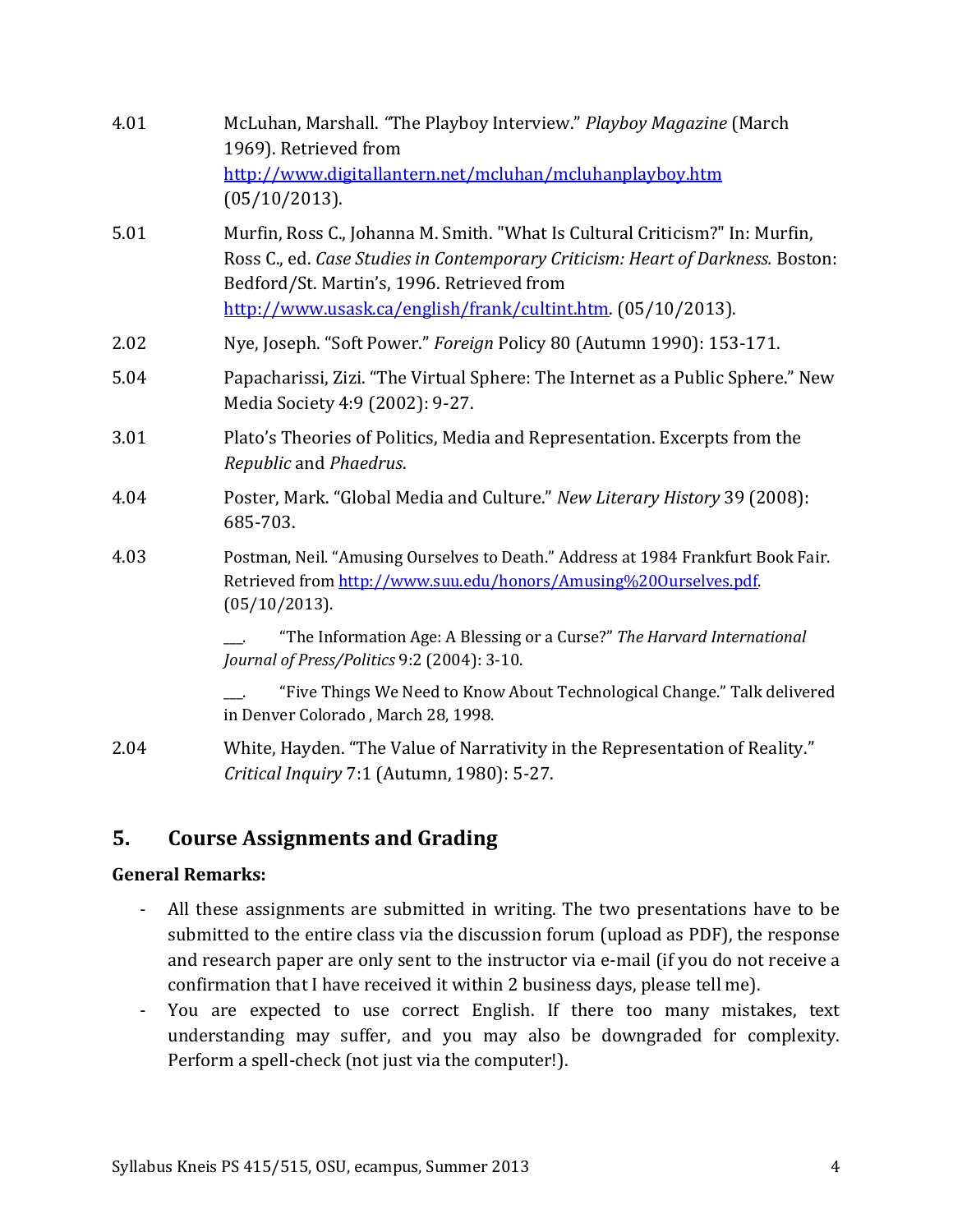| 4.01 | McLuhan, Marshall. "The Playboy Interview." Playboy Magazine (March<br>1969). Retrieved from<br>http://www.digitallantern.net/mcluhan/mcluhanplayboy.htm<br>(05/10/2013).                                                                                                     |  |  |  |  |  |
|------|-------------------------------------------------------------------------------------------------------------------------------------------------------------------------------------------------------------------------------------------------------------------------------|--|--|--|--|--|
| 5.01 | Murfin, Ross C., Johanna M. Smith. "What Is Cultural Criticism?" In: Murfin,<br>Ross C., ed. Case Studies in Contemporary Criticism: Heart of Darkness. Boston:<br>Bedford/St. Martin's, 1996. Retrieved from<br>http://www.usask.ca/english/frank/cultint.htm. (05/10/2013). |  |  |  |  |  |
| 2.02 | Nye, Joseph. "Soft Power." Foreign Policy 80 (Autumn 1990): 153-171.                                                                                                                                                                                                          |  |  |  |  |  |
| 5.04 | Papacharissi, Zizi. "The Virtual Sphere: The Internet as a Public Sphere." New<br>Media Society 4:9 (2002): 9-27.                                                                                                                                                             |  |  |  |  |  |
| 3.01 | Plato's Theories of Politics, Media and Representation. Excerpts from the<br>Republic and Phaedrus.                                                                                                                                                                           |  |  |  |  |  |
| 4.04 | Poster, Mark. "Global Media and Culture." New Literary History 39 (2008):<br>685-703.                                                                                                                                                                                         |  |  |  |  |  |
| 4.03 | Postman, Neil. "Amusing Ourselves to Death." Address at 1984 Frankfurt Book Fair.<br>Retrieved from http://www.suu.edu/honors/Amusing%200urselves.pdf.<br>(05/10/2013).                                                                                                       |  |  |  |  |  |
|      | "The Information Age: A Blessing or a Curse?" The Harvard International<br>Journal of Press/Politics 9:2 (2004): 3-10.                                                                                                                                                        |  |  |  |  |  |
|      | "Five Things We Need to Know About Technological Change." Talk delivered<br>in Denver Colorado, March 28, 1998.                                                                                                                                                               |  |  |  |  |  |
| 2.04 | White, Hayden. "The Value of Narrativity in the Representation of Reality."<br>Critical Inquiry 7:1 (Autumn, 1980): 5-27.                                                                                                                                                     |  |  |  |  |  |

# **5. Course Assignments and Grading**

### **General Remarks:**

- All these assignments are submitted in writing. The two presentations have to be submitted to the entire class via the discussion forum (upload as PDF), the response and research paper are only sent to the instructor via e-mail (if you do not receive a confirmation that I have received it within 2 business days, please tell me).
- You are expected to use correct English. If there too many mistakes, text understanding may suffer, and you may also be downgraded for complexity. Perform a spell-check (not just via the computer!).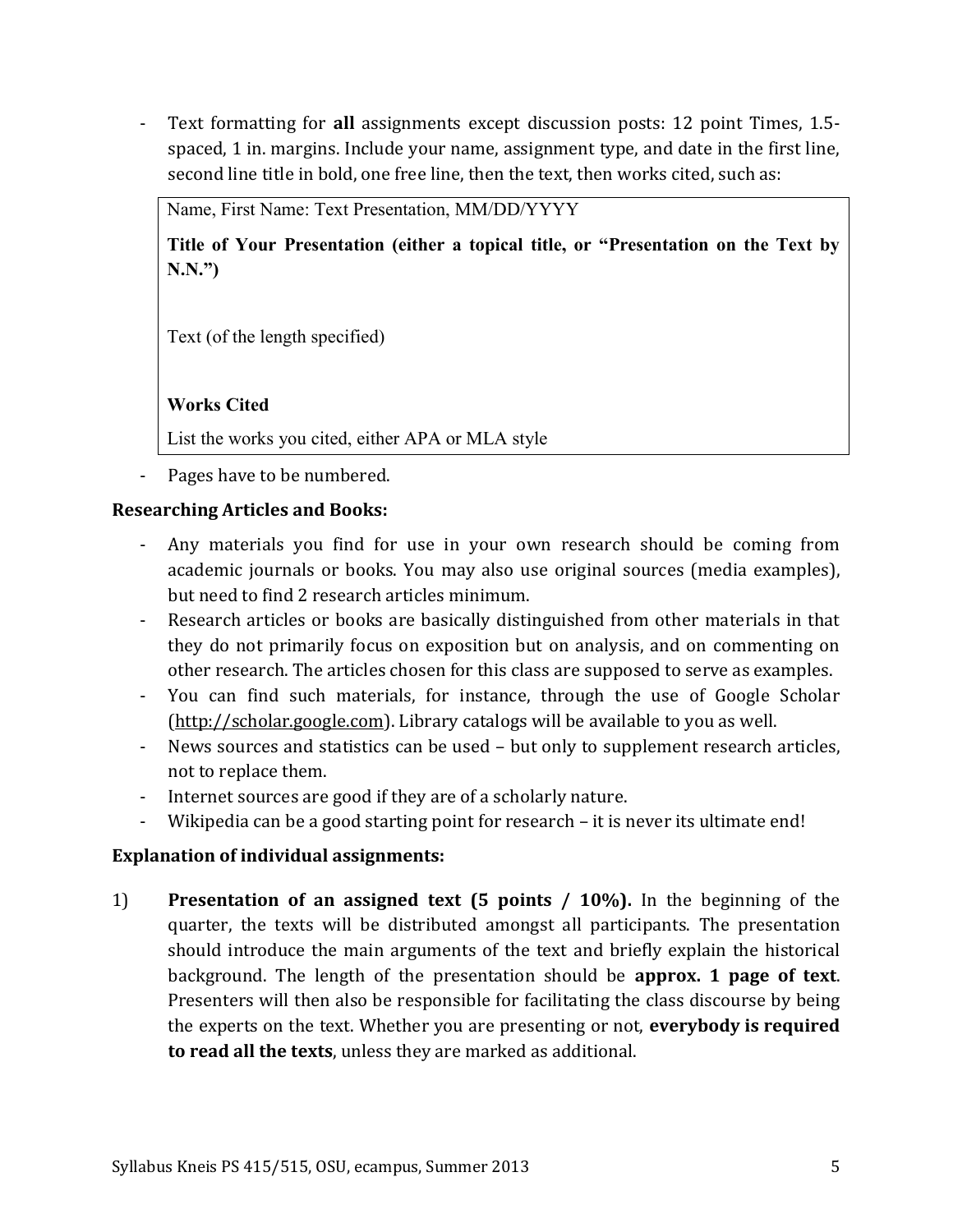- Text formatting for **all** assignments except discussion posts: 12 point Times, 1.5 spaced, 1 in. margins. Include your name, assignment type, and date in the first line, second line title in bold, one free line, then the text, then works cited, such as:

Name, First Name: Text Presentation, MM/DD/YYYY

**Title of Your Presentation (either a topical title, or "Presentation on the Text by N.N.")**

Text (of the length specified)

#### **Works Cited**

List the works you cited, either APA or MLA style

- Pages have to be numbered.

#### **Researching Articles and Books:**

- Any materials you find for use in your own research should be coming from academic journals or books. You may also use original sources (media examples), but need to find 2 research articles minimum.
- Research articles or books are basically distinguished from other materials in that they do not primarily focus on exposition but on analysis, and on commenting on other research. The articles chosen for this class are supposed to serve as examples.
- You can find such materials, for instance, through the use of Google Scholar [\(http://scholar.google.com\)](http://scholar.google.com/). Library catalogs will be available to you as well.
- News sources and statistics can be used but only to supplement research articles, not to replace them.
- Internet sources are good if they are of a scholarly nature.
- Wikipedia can be a good starting point for research it is never its ultimate end!

### **Explanation of individual assignments:**

1) **Presentation of an assigned text (5 points / 10%).** In the beginning of the quarter, the texts will be distributed amongst all participants. The presentation should introduce the main arguments of the text and briefly explain the historical background. The length of the presentation should be **approx. 1 page of text**. Presenters will then also be responsible for facilitating the class discourse by being the experts on the text. Whether you are presenting or not, **everybody is required to read all the texts**, unless they are marked as additional.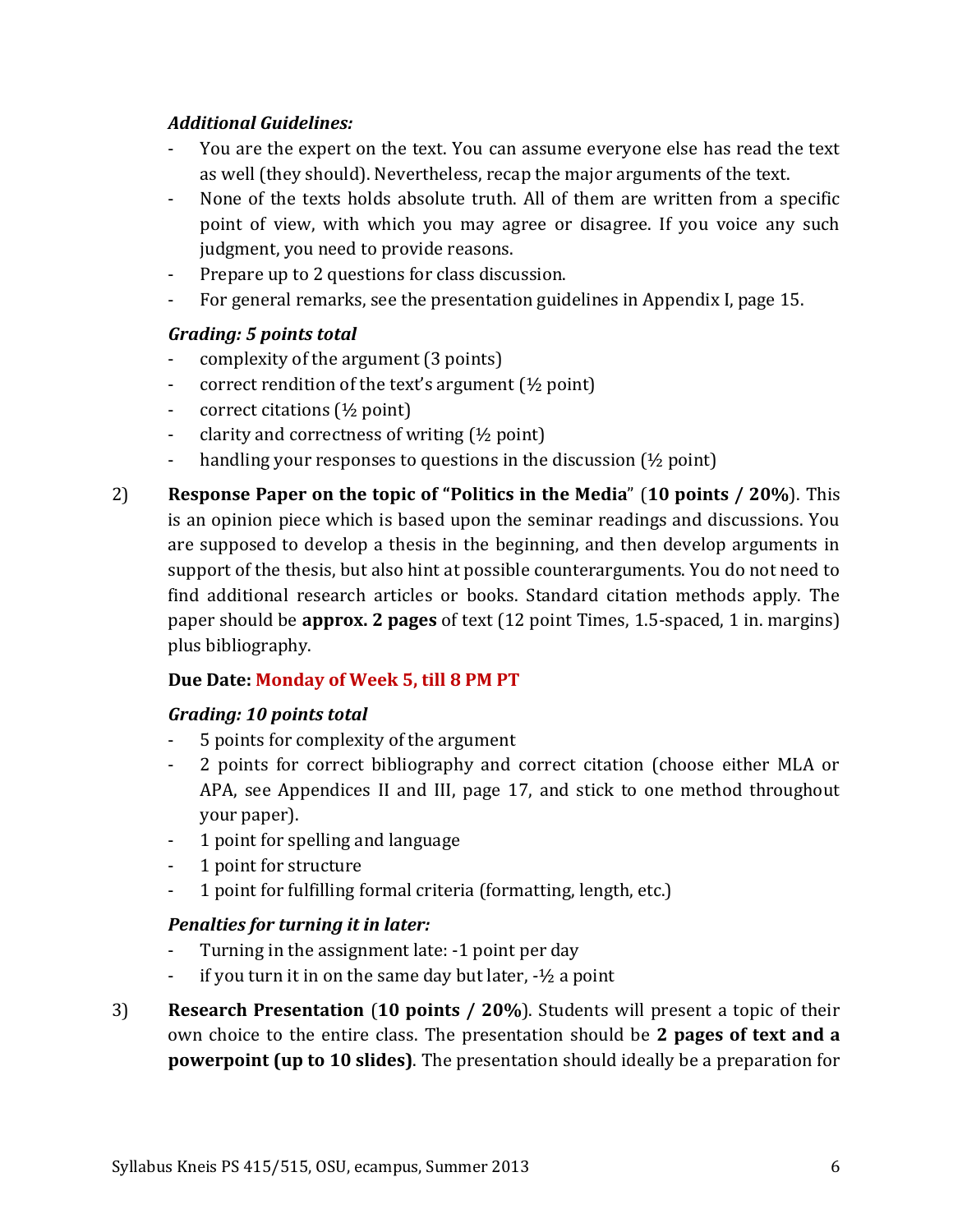### *Additional Guidelines:*

- You are the expert on the text. You can assume everyone else has read the text as well (they should). Nevertheless, recap the major arguments of the text.
- None of the texts holds absolute truth. All of them are written from a specific point of view, with which you may agree or disagree. If you voice any such judgment, you need to provide reasons.
- Prepare up to 2 questions for class discussion.
- For general remarks, see the presentation guidelines in Appendix I, page [15.](#page-14-0)

## *Grading: 5 points total*

- complexity of the argument (3 points)
- correct rendition of the text's argument (½ point)
- correct citations  $(\frac{1}{2}$  point)
- clarity and correctness of writing (½ point)
- handling your responses to questions in the discussion (½ point)
- 2) **Response Paper on the topic of "Politics in the Media**" (**10 points / 20%**). This is an opinion piece which is based upon the seminar readings and discussions. You are supposed to develop a thesis in the beginning, and then develop arguments in support of the thesis, but also hint at possible counterarguments. You do not need to find additional research articles or books. Standard citation methods apply. The paper should be **approx. 2 pages** of text (12 point Times, 1.5-spaced, 1 in. margins) plus bibliography.

# **Due Date: Monday of Week 5, till 8 PM PT**

## *Grading: 10 points total*

- 5 points for complexity of the argument
- 2 points for correct bibliography and correct citation (choose either MLA or APA, see Appendices II and III, page [17,](#page-16-0) and stick to one method throughout your paper).
- 1 point for spelling and language
- 1 point for structure
- 1 point for fulfilling formal criteria (formatting, length, etc.)

## *Penalties for turning it in later:*

- Turning in the assignment late: -1 point per day
- if you turn it in on the same day but later,  $-1/2$  a point
- 3) **Research Presentation** (**10 points / 20%**). Students will present a topic of their own choice to the entire class. The presentation should be **2 pages of text and a powerpoint (up to 10 slides)**. The presentation should ideally be a preparation for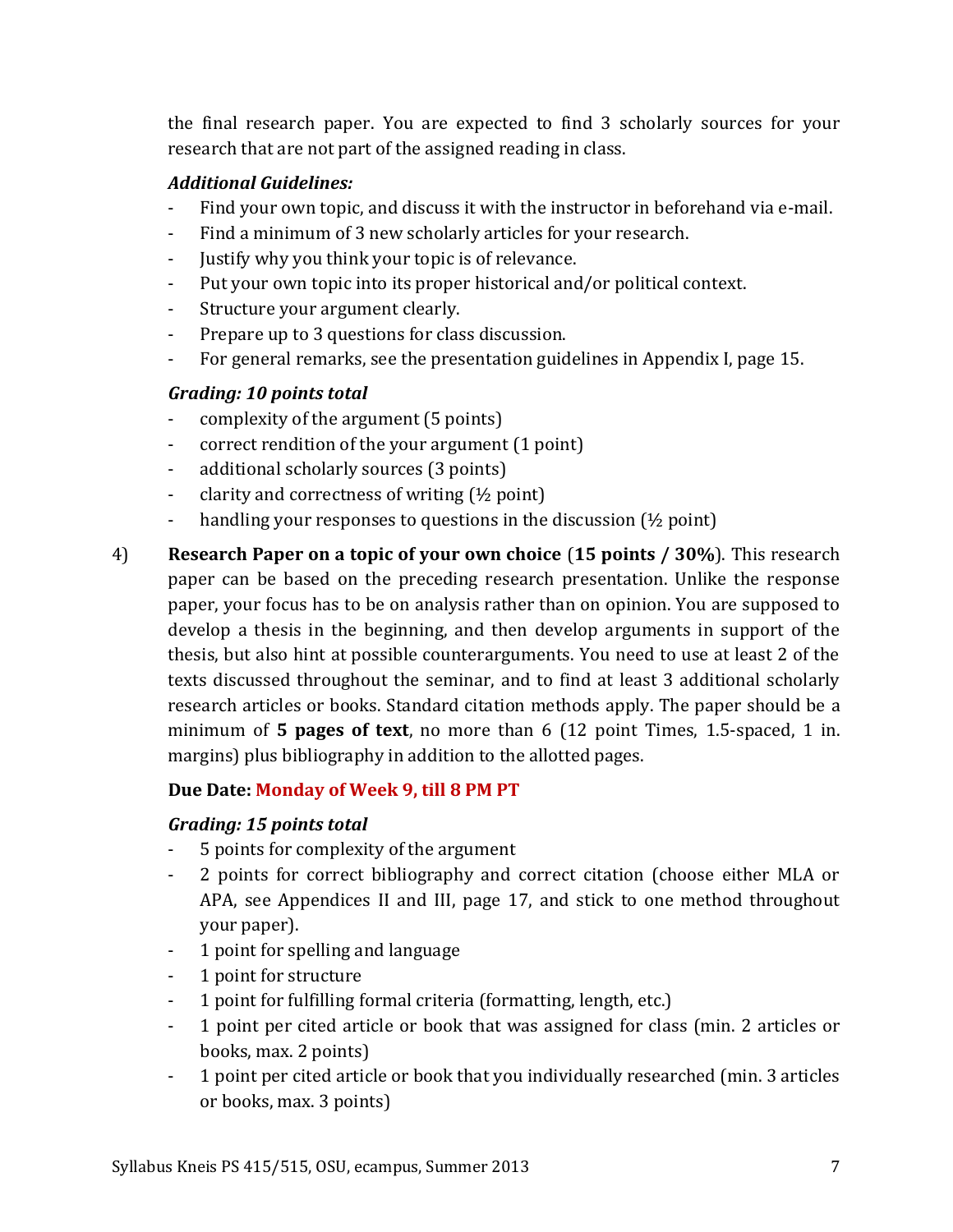the final research paper. You are expected to find 3 scholarly sources for your research that are not part of the assigned reading in class.

## *Additional Guidelines:*

- Find your own topic, and discuss it with the instructor in beforehand via e-mail.
- Find a minimum of 3 new scholarly articles for your research.
- Justify why you think your topic is of relevance.
- Put your own topic into its proper historical and/or political context.
- Structure your argument clearly.
- Prepare up to 3 questions for class discussion.
- For general remarks, see the presentation guidelines in Appendix I, page [15.](#page-14-0)

# *Grading: 10 points total*

- complexity of the argument (5 points)
- correct rendition of the your argument (1 point)
- additional scholarly sources (3 points)
- clarity and correctness of writing (½ point)
- handling your responses to questions in the discussion (½ point)
- 4) **Research Paper on a topic of your own choice** (**15 points / 30%**). This research paper can be based on the preceding research presentation. Unlike the response paper, your focus has to be on analysis rather than on opinion. You are supposed to develop a thesis in the beginning, and then develop arguments in support of the thesis, but also hint at possible counterarguments. You need to use at least 2 of the texts discussed throughout the seminar, and to find at least 3 additional scholarly research articles or books. Standard citation methods apply. The paper should be a minimum of **5 pages of text**, no more than 6 (12 point Times, 1.5-spaced, 1 in. margins) plus bibliography in addition to the allotted pages.

# **Due Date: Monday of Week 9, till 8 PM PT**

## *Grading: 15 points total*

- 5 points for complexity of the argument
- 2 points for correct bibliography and correct citation (choose either MLA or APA, see Appendices II and III, page [17,](#page-16-0) and stick to one method throughout your paper).
- 1 point for spelling and language
- 1 point for structure
- 1 point for fulfilling formal criteria (formatting, length, etc.)
- 1 point per cited article or book that was assigned for class (min. 2 articles or books, max. 2 points)
- 1 point per cited article or book that you individually researched (min. 3 articles or books, max. 3 points)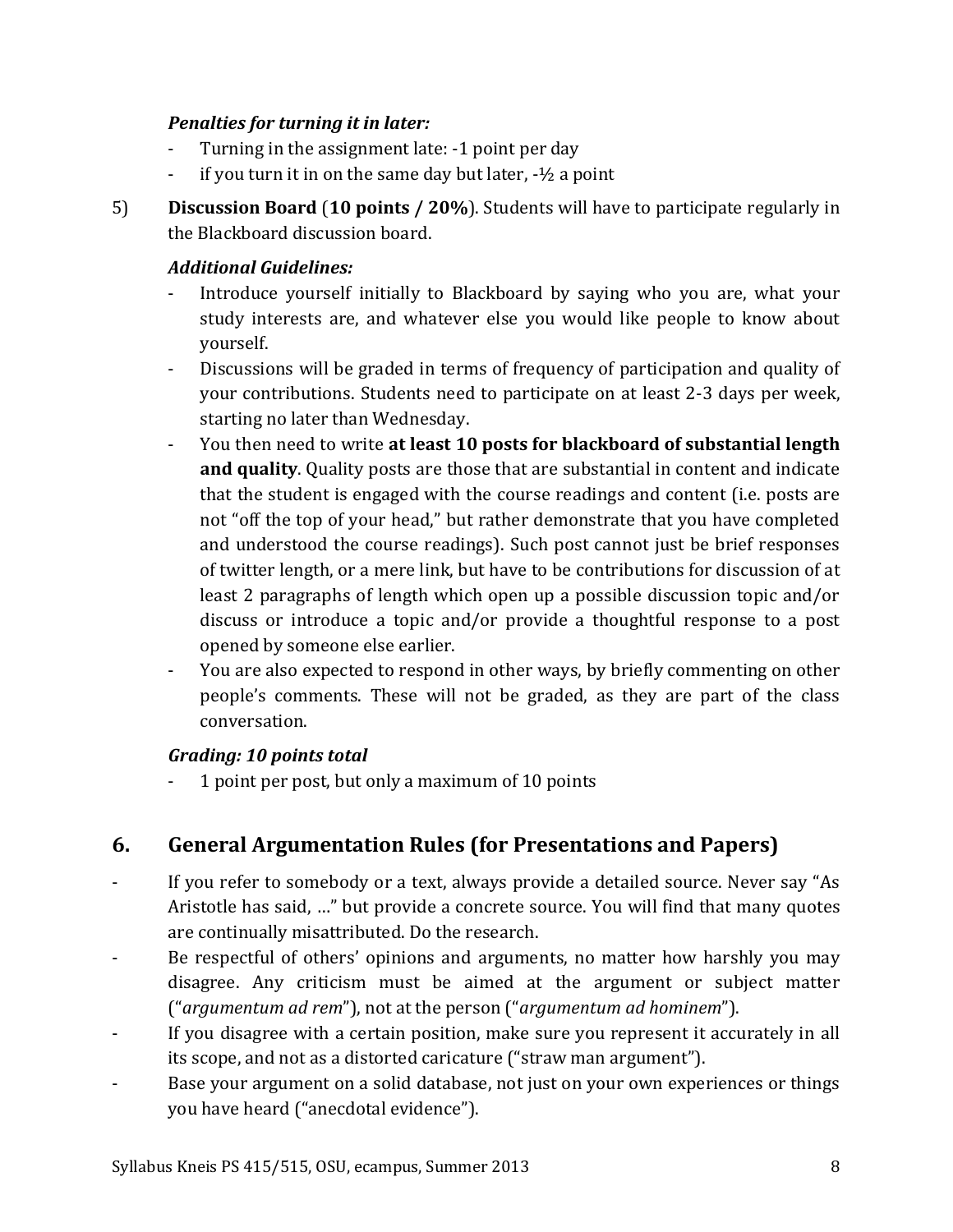## *Penalties for turning it in later:*

- Turning in the assignment late: -1 point per day
- if you turn it in on the same day but later,  $-1/2$  a point
- 5) **Discussion Board** (**10 points / 20%**). Students will have to participate regularly in the Blackboard discussion board.

### *Additional Guidelines:*

- Introduce yourself initially to Blackboard by saying who you are, what your study interests are, and whatever else you would like people to know about yourself.
- Discussions will be graded in terms of frequency of participation and quality of your contributions. Students need to participate on at least 2-3 days per week, starting no later than Wednesday.
- You then need to write **at least 10 posts for blackboard of substantial length and quality**. Quality posts are those that are substantial in content and indicate that the student is engaged with the course readings and content (i.e. posts are not "off the top of your head," but rather demonstrate that you have completed and understood the course readings). Such post cannot just be brief responses of twitter length, or a mere link, but have to be contributions for discussion of at least 2 paragraphs of length which open up a possible discussion topic and/or discuss or introduce a topic and/or provide a thoughtful response to a post opened by someone else earlier.
- You are also expected to respond in other ways, by briefly commenting on other people's comments. These will not be graded, as they are part of the class conversation.

## *Grading: 10 points total*

- 1 point per post, but only a maximum of 10 points

# **6. General Argumentation Rules (for Presentations and Papers)**

- If you refer to somebody or a text, always provide a detailed source. Never say "As Aristotle has said, …" but provide a concrete source. You will find that many quotes are continually misattributed. Do the research.
- Be respectful of others' opinions and arguments, no matter how harshly you may disagree. Any criticism must be aimed at the argument or subject matter ("*argumentum ad rem*"), not at the person ("*argumentum ad hominem*").
- If you disagree with a certain position, make sure you represent it accurately in all its scope, and not as a distorted caricature ("straw man argument").
- Base your argument on a solid database, not just on your own experiences or things you have heard ("anecdotal evidence").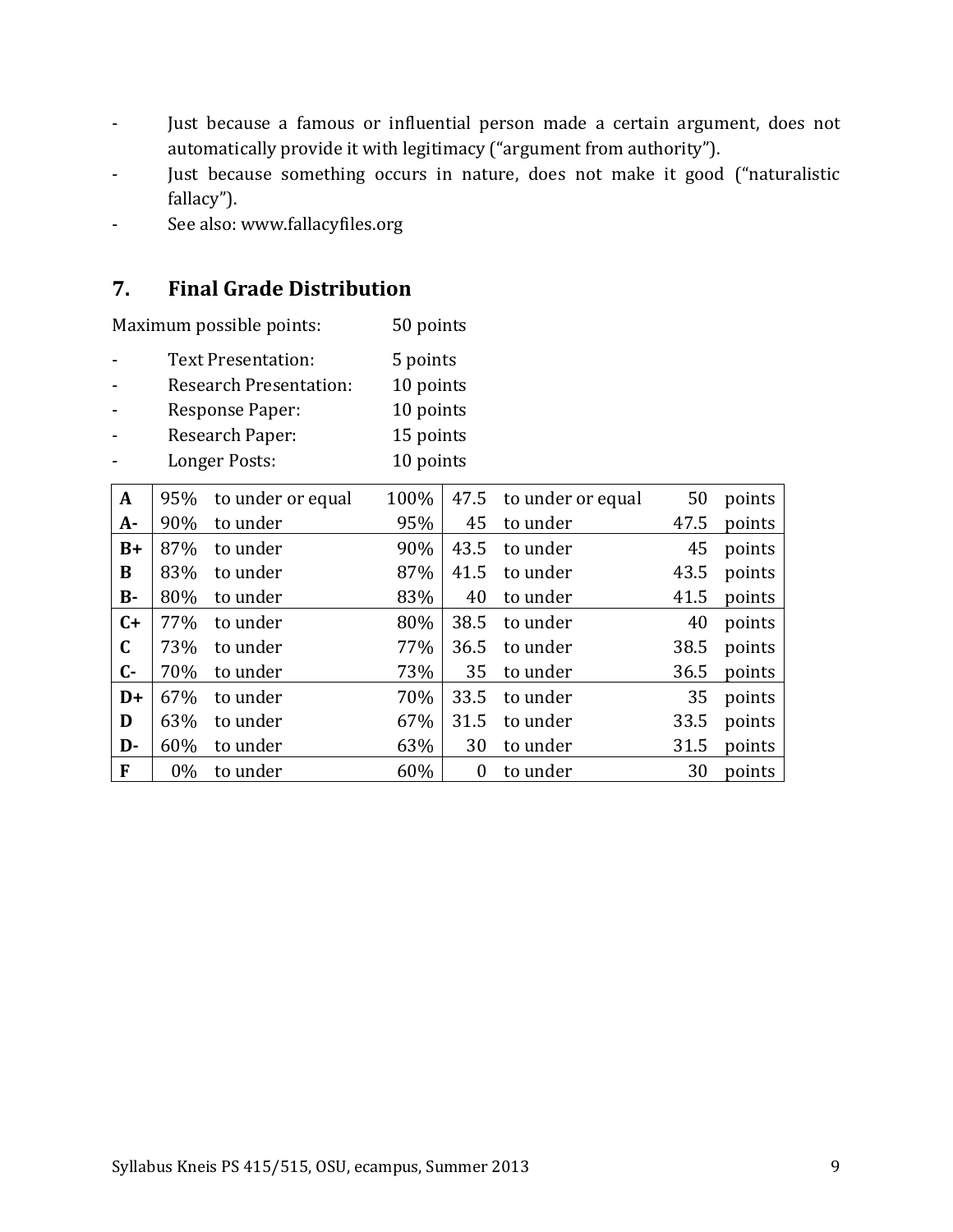- Just because a famous or influential person made a certain argument, does not automatically provide it with legitimacy ("argument from authority").
- Just because something occurs in nature, does not make it good ("naturalistic fallacy").
- See also: www.fallacyfiles.org

# **7. Final Grade Distribution**

Maximum possible points: 50 points

- Text Presentation: 5 points
- Research Presentation: 10 points
- Response Paper: 10 points
- Research Paper: 15 points
- Longer Posts: 10 points

| $\mathbf{A}$ | 95%   | to under or equal | 100% |          | 47.5 to under or equal | 50   | points |
|--------------|-------|-------------------|------|----------|------------------------|------|--------|
| $A -$        | 90%   | to under          | 95%  | 45       | to under               | 47.5 | points |
| $B+$         | 87%   | to under          | 90%  | 43.5     | to under               | 45   | points |
| B            | 83%   | to under          | 87%  | 41.5     | to under               | 43.5 | points |
| <b>B-</b>    | 80%   | to under          | 83%  | 40       | to under               | 41.5 | points |
| $C+$         | 77%   | to under          | 80%  | 38.5     | to under               | 40   | points |
| $\mathbf C$  | 73%   | to under          | 77%  | 36.5     | to under               | 38.5 | points |
| $C-$         | 70%   | to under          | 73%  | 35       | to under               | 36.5 | points |
| $D+$         | 67%   | to under          | 70%  | 33.5     | to under               | 35   | points |
| D            | 63%   | to under          | 67%  | 31.5     | to under               | 33.5 | points |
| D-           | 60%   | to under          | 63%  | 30       | to under               | 31.5 | points |
| $\mathbf{F}$ | $0\%$ | to under          | 60%  | $\theta$ | to under               | 30   | points |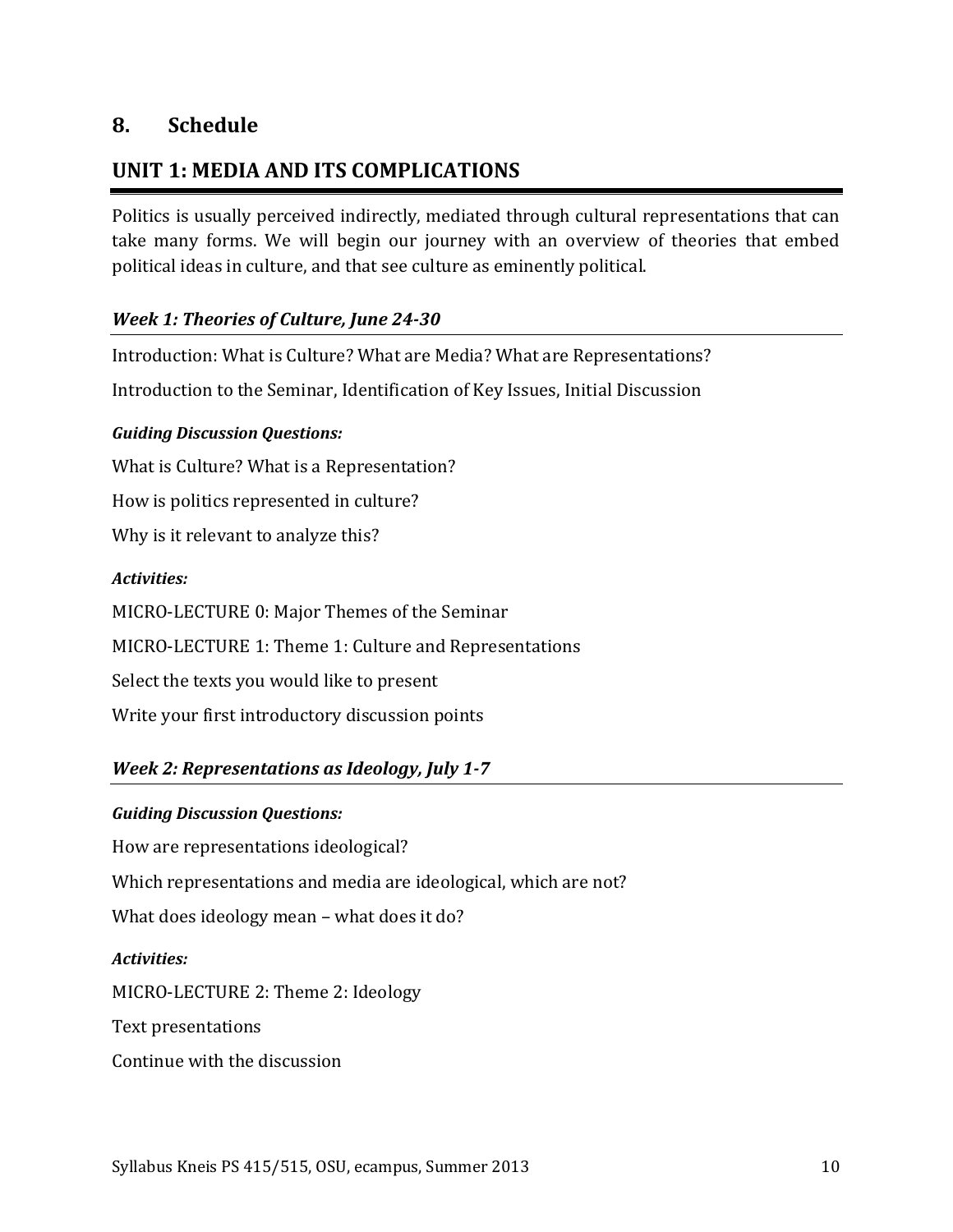# **8. Schedule**

# **UNIT 1: MEDIA AND ITS COMPLICATIONS**

Politics is usually perceived indirectly, mediated through cultural representations that can take many forms. We will begin our journey with an overview of theories that embed political ideas in culture, and that see culture as eminently political.

### *Week 1: Theories of Culture, June 24-30*

Introduction: What is Culture? What are Media? What are Representations?

Introduction to the Seminar, Identification of Key Issues, Initial Discussion

### *Guiding Discussion Questions:*

What is Culture? What is a Representation? How is politics represented in culture? Why is it relevant to analyze this?

### *Activities:*

MICRO-LECTURE 0: Major Themes of the Seminar MICRO-LECTURE 1: Theme 1: Culture and Representations Select the texts you would like to present Write your first introductory discussion points

## *Week 2: Representations as Ideology, July 1-7*

### *Guiding Discussion Questions:*

How are representations ideological? Which representations and media are ideological, which are not? What does ideology mean – what does it do?

### *Activities:*

MICRO-LECTURE 2: Theme 2: Ideology

Text presentations

Continue with the discussion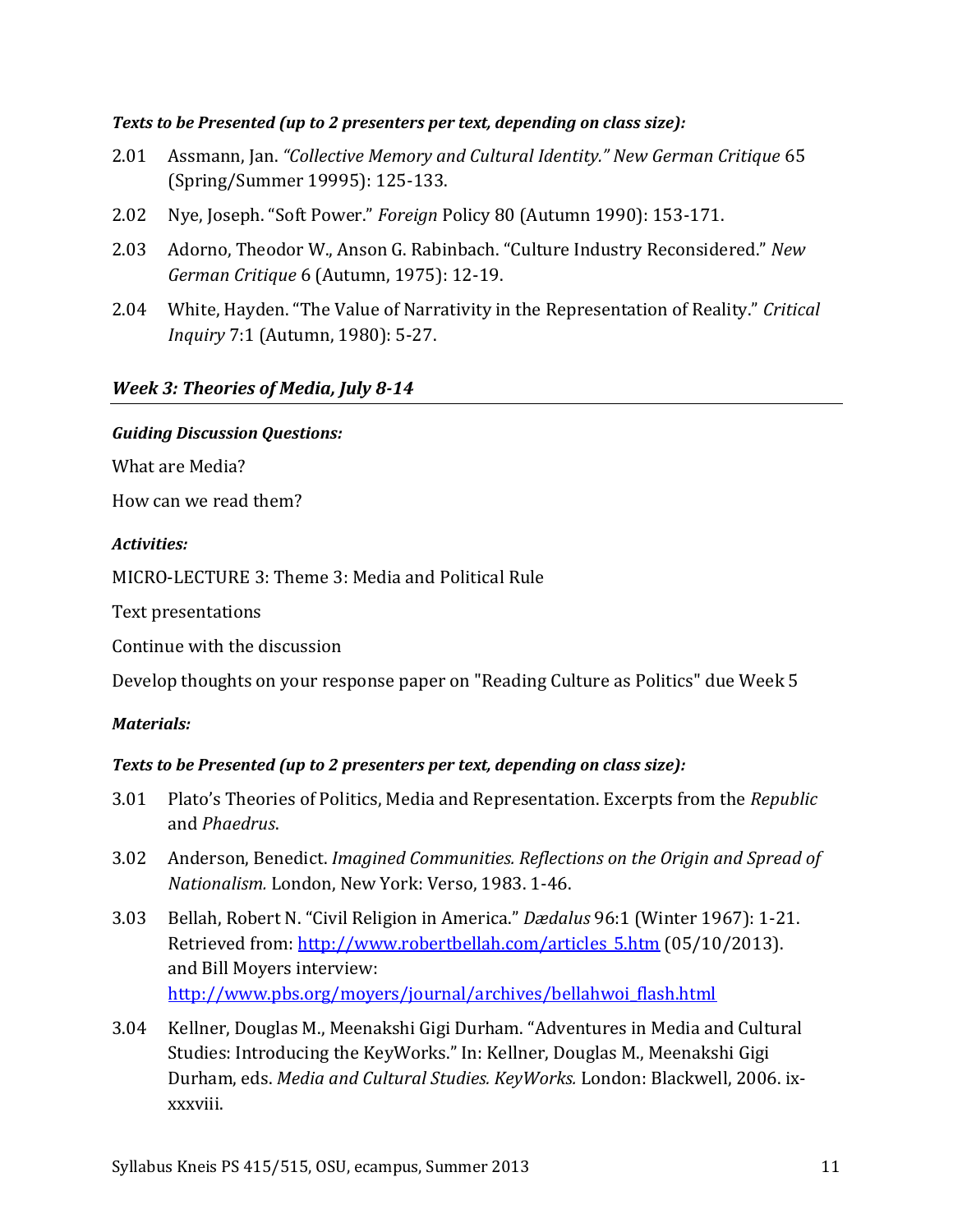#### *Texts to be Presented (up to 2 presenters per text, depending on class size):*

- 2.01 Assmann, Jan. *"Collective Memory and Cultural Identity." New German Critique* 65 (Spring/Summer 19995): 125-133.
- 2.02 Nye, Joseph. "Soft Power." *Foreign* Policy 80 (Autumn 1990): 153-171.
- 2.03 Adorno, Theodor W., Anson G. Rabinbach. "Culture Industry Reconsidered." *New German Critique* 6 (Autumn, 1975): 12-19.
- 2.04 White, Hayden. "The Value of Narrativity in the Representation of Reality." *Critical Inquiry* 7:1 (Autumn, 1980): 5-27.

### *Week 3: Theories of Media, July 8-14*

#### *Guiding Discussion Questions:*

What are Media?

How can we read them?

#### *Activities:*

MICRO-LECTURE 3: Theme 3: Media and Political Rule

Text presentations

Continue with the discussion

Develop thoughts on your response paper on "Reading Culture as Politics" due Week 5

#### *Materials:*

### *Texts to be Presented (up to 2 presenters per text, depending on class size):*

- 3.01 Plato's Theories of Politics, Media and Representation. Excerpts from the *Republic* and *Phaedrus*.
- 3.02 Anderson, Benedict. *Imagined Communities. Reflections on the Origin and Spread of Nationalism.* London, New York: Verso, 1983. 1-46.
- 3.03 Bellah, Robert N. "Civil Religion in America." *Dædalus* 96:1 (Winter 1967): 1-21. Retrieved from: [http://www.robertbellah.com/articles\\_5.htm](http://www.robertbellah.com/articles_5.htm) (05/10/2013). and Bill Moyers interview: [http://www.pbs.org/moyers/journal/archives/bellahwoi\\_flash.html](http://www.pbs.org/moyers/journal/archives/bellahwoi_flash.html)
- 3.04 Kellner, Douglas M., Meenakshi Gigi Durham. "Adventures in Media and Cultural Studies: Introducing the KeyWorks." In: Kellner, Douglas M., Meenakshi Gigi Durham, eds. *Media and Cultural Studies. KeyWorks.* London: Blackwell, 2006. ixxxxviii.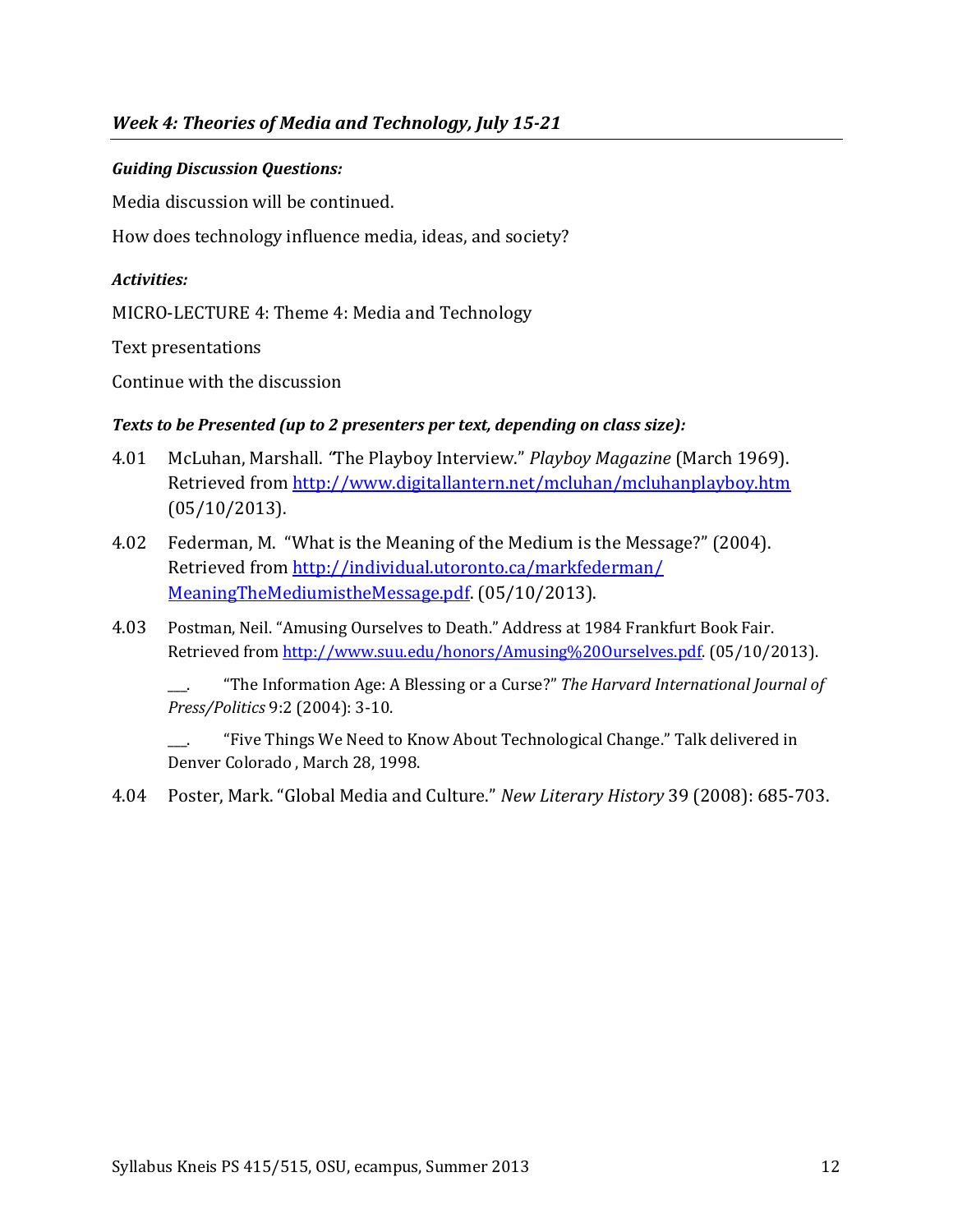### *Guiding Discussion Questions:*

Media discussion will be continued.

How does technology influence media, ideas, and society?

#### *Activities:*

MICRO-LECTURE 4: Theme 4: Media and Technology

Text presentations

Continue with the discussion

### *Texts to be Presented (up to 2 presenters per text, depending on class size):*

- 4.01 McLuhan, Marshall. *"*The Playboy Interview." *Playboy Magazine* (March 1969). Retrieved from<http://www.digitallantern.net/mcluhan/mcluhanplayboy.htm> (05/10/2013).
- 4.02 Federman, M. "What is the Meaning of the Medium is the Message?" (2004). Retrieved from [http://individual.utoronto.ca/markfederman/](http://individual.utoronto.ca/markfederman/%20MeaningTheMediumistheMessage.pdf)  [MeaningTheMediumistheMessage.pdf.](http://individual.utoronto.ca/markfederman/%20MeaningTheMediumistheMessage.pdf) (05/10/2013).
- 4.03 Postman, Neil. "Amusing Ourselves to Death." Address at 1984 Frankfurt Book Fair. Retrieved fro[m http://www.suu.edu/honors/Amusing%20Ourselves.pdf.](http://www.suu.edu/honors/Amusing%20Ourselves.pdf) (05/10/2013).

\_\_\_. "The Information Age: A Blessing or a Curse?" *The Harvard International Journal of Press/Politics* 9:2 (2004): 3-10.

"Five Things We Need to Know About Technological Change." Talk delivered in Denver Colorado , March 28, 1998.

4.04 Poster, Mark. "Global Media and Culture." *New Literary History* 39 (2008): 685-703.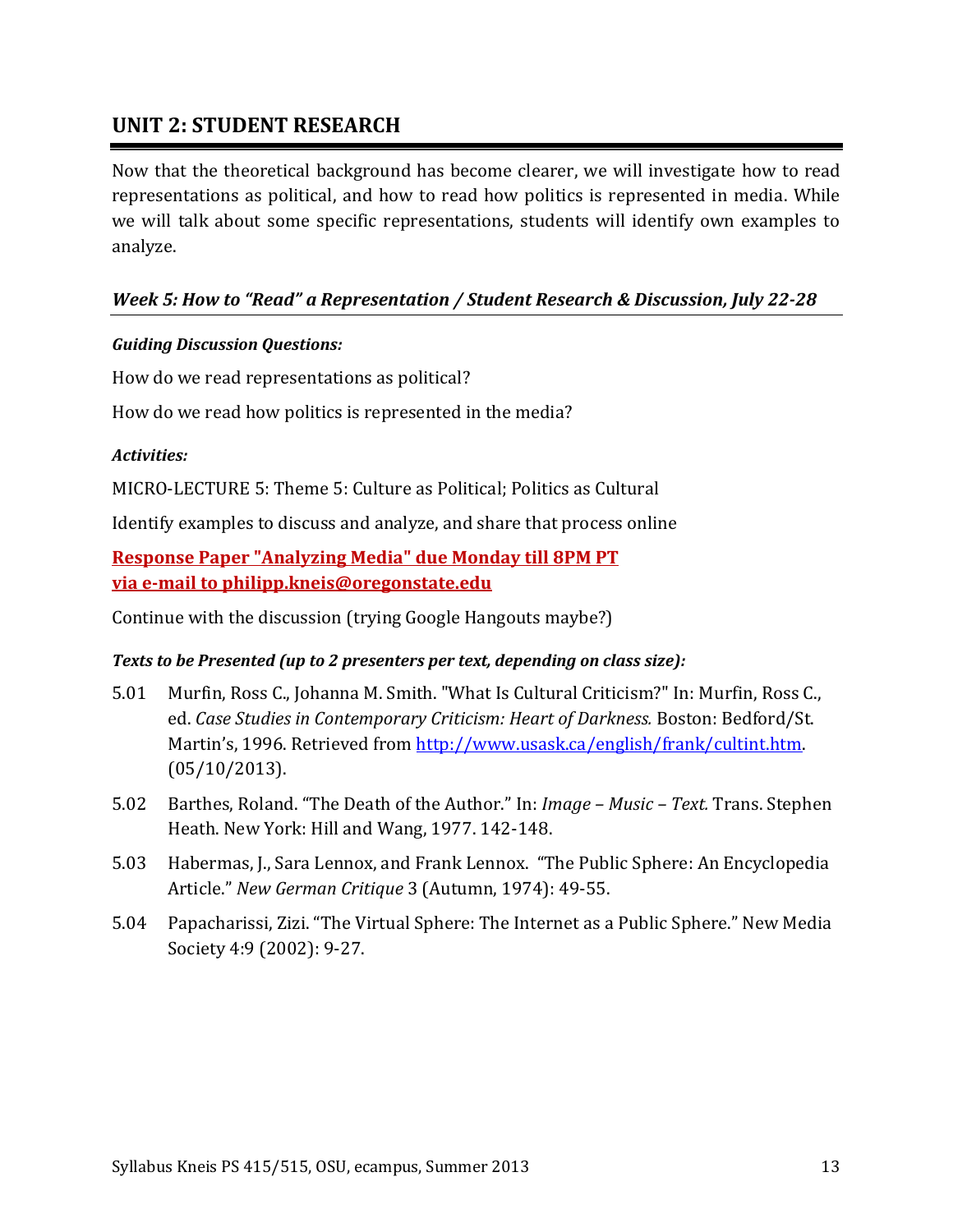# **UNIT 2: STUDENT RESEARCH**

Now that the theoretical background has become clearer, we will investigate how to read representations as political, and how to read how politics is represented in media. While we will talk about some specific representations, students will identify own examples to analyze.

### *Week 5: How to "Read" a Representation / Student Research & Discussion, July 22-28*

#### *Guiding Discussion Questions:*

How do we read representations as political?

How do we read how politics is represented in the media?

#### *Activities:*

MICRO-LECTURE 5: Theme 5: Culture as Political; Politics as Cultural

Identify examples to discuss and analyze, and share that process online

**Response Paper "Analyzing Media" due Monday till 8PM PT via e-mail to philipp.kneis@oregonstate.edu**

Continue with the discussion (trying Google Hangouts maybe?)

#### *Texts to be Presented (up to 2 presenters per text, depending on class size):*

- 5.01 Murfin, Ross C., Johanna M. Smith. "What Is Cultural Criticism?" In: Murfin, Ross C., ed. *Case Studies in Contemporary Criticism: Heart of Darkness.* Boston: Bedford/St. Martin's, 1996. Retrieved from [http://www.usask.ca/english/frank/cultint.htm.](http://www.usask.ca/english/frank/cultint.htm) (05/10/2013).
- 5.02 Barthes, Roland. "The Death of the Author." In: *Image – Music – Text.* Trans. Stephen Heath. New York: Hill and Wang, 1977. 142-148.
- 5.03 Habermas, J., Sara Lennox, and Frank Lennox. "The Public Sphere: An Encyclopedia Article." *New German Critique* 3 (Autumn, 1974): 49-55.
- 5.04 Papacharissi, Zizi. "The Virtual Sphere: The Internet as a Public Sphere." New Media Society 4:9 (2002): 9-27.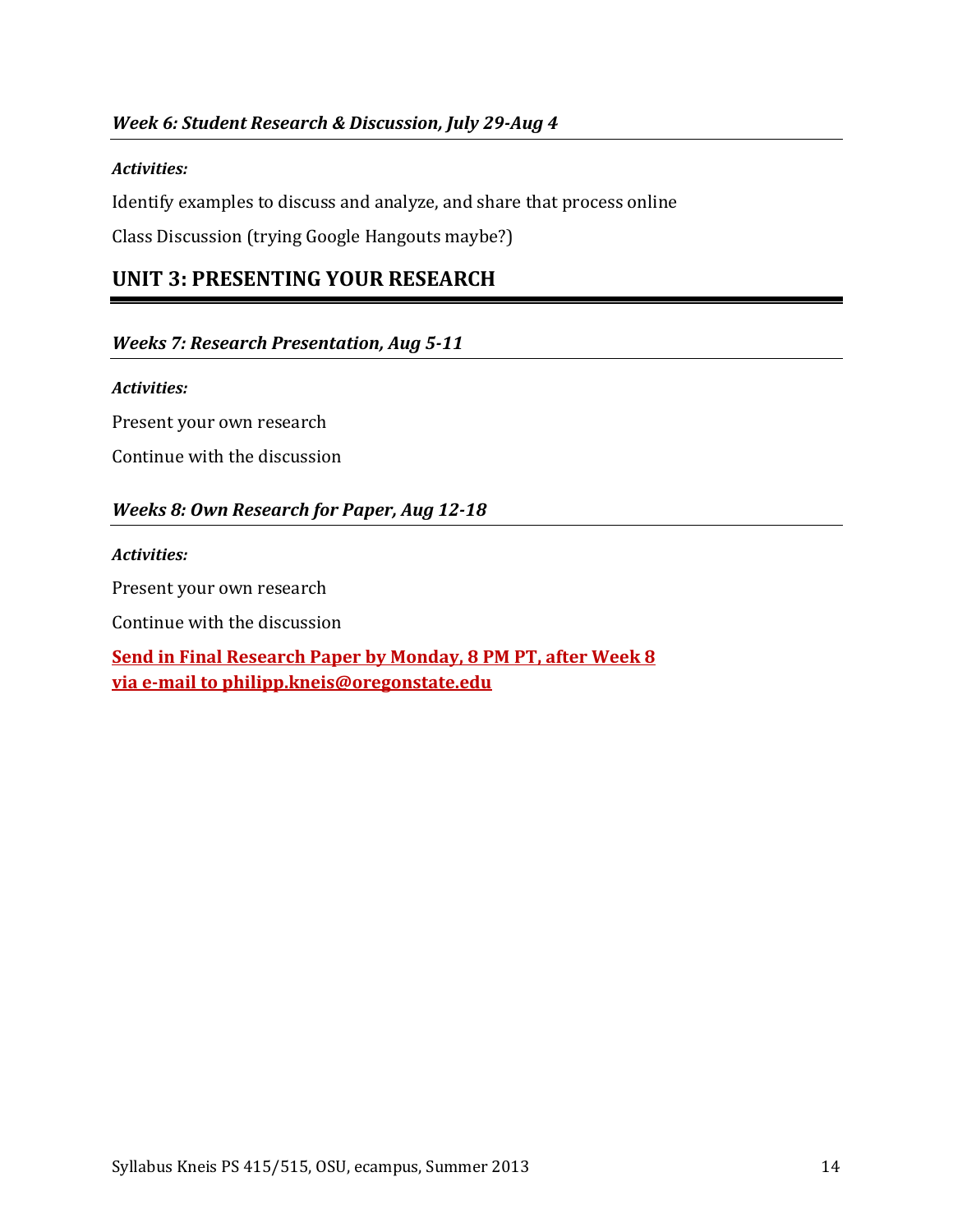#### *Activities:*

Identify examples to discuss and analyze, and share that process online

Class Discussion (trying Google Hangouts maybe?)

# **UNIT 3: PRESENTING YOUR RESEARCH**

#### *Weeks 7: Research Presentation, Aug 5-11*

#### *Activities:*

Present your own research Continue with the discussion

### *Weeks 8: Own Research for Paper, Aug 12-18*

#### *Activities:*

Present your own research

Continue with the discussion

**Send in Final Research Paper by Monday, 8 PM PT, after Week 8 via e-mail to philipp.kneis@oregonstate.edu**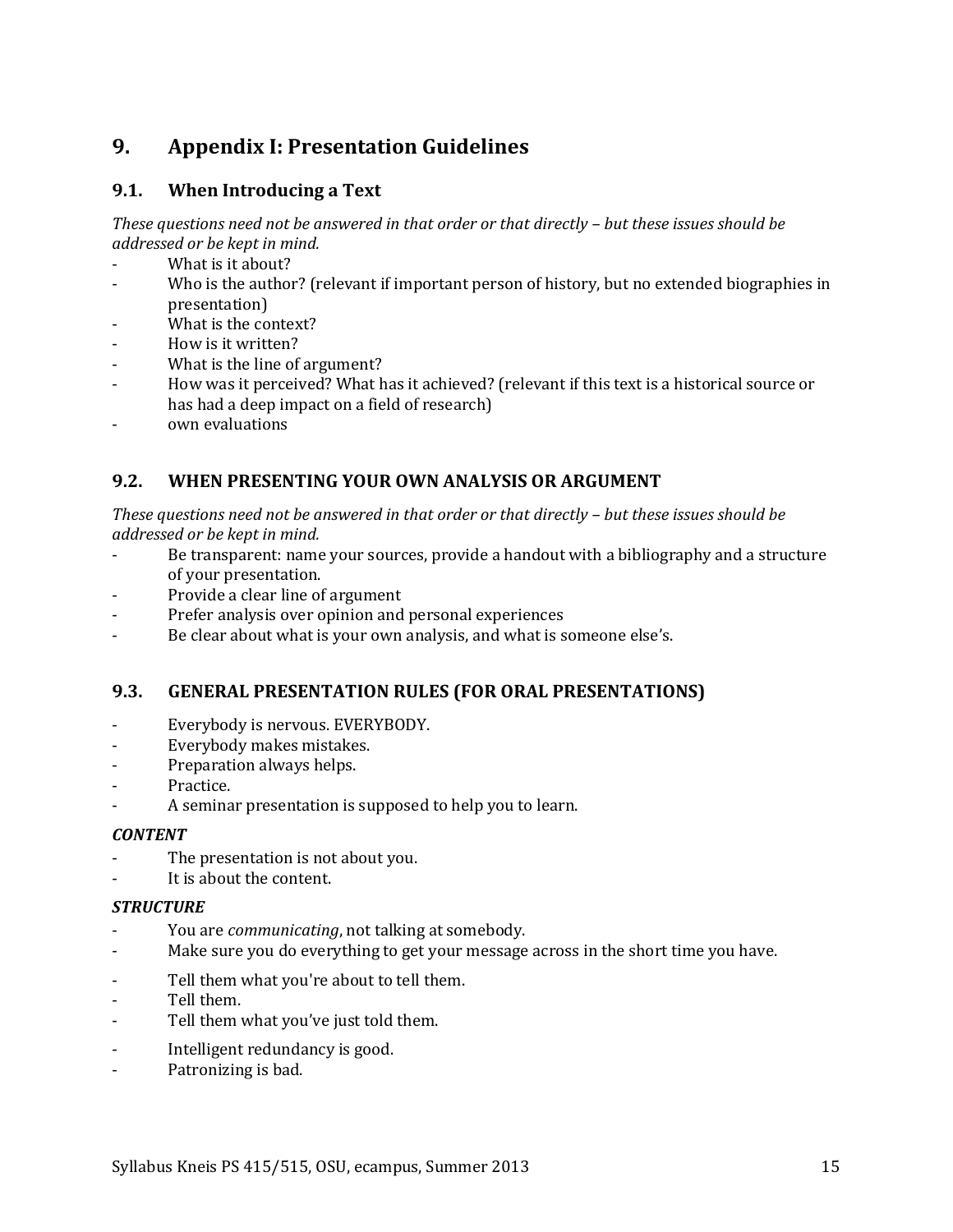# <span id="page-14-0"></span>**9. Appendix I: Presentation Guidelines**

### **9.1. When Introducing a Text**

*These questions need not be answered in that order or that directly – but these issues should be addressed or be kept in mind.*

- What is it about?
- Who is the author? (relevant if important person of history, but no extended biographies in presentation)
- What is the context?
- How is it written?
- What is the line of argument?
- How was it perceived? What has it achieved? (relevant if this text is a historical source or has had a deep impact on a field of research)
- own evaluations

### **9.2. WHEN PRESENTING YOUR OWN ANALYSIS OR ARGUMENT**

*These questions need not be answered in that order or that directly – but these issues should be addressed or be kept in mind.*

- Be transparent: name your sources, provide a handout with a bibliography and a structure of your presentation.
- Provide a clear line of argument
- Prefer analysis over opinion and personal experiences
- Be clear about what is your own analysis, and what is someone else's.

### **9.3. GENERAL PRESENTATION RULES (FOR ORAL PRESENTATIONS)**

- Everybody is nervous. EVERYBODY.
- Everybody makes mistakes.
- Preparation always helps.
- Practice.
- A seminar presentation is supposed to help you to learn.

#### *CONTENT*

- The presentation is not about you.
- It is about the content.

#### *STRUCTURE*

- You are *communicating*, not talking at somebody.
- Make sure you do everything to get your message across in the short time you have.
- Tell them what you're about to tell them.
- Tell them.
- Tell them what you've just told them.
- Intelligent redundancy is good.
- Patronizing is bad.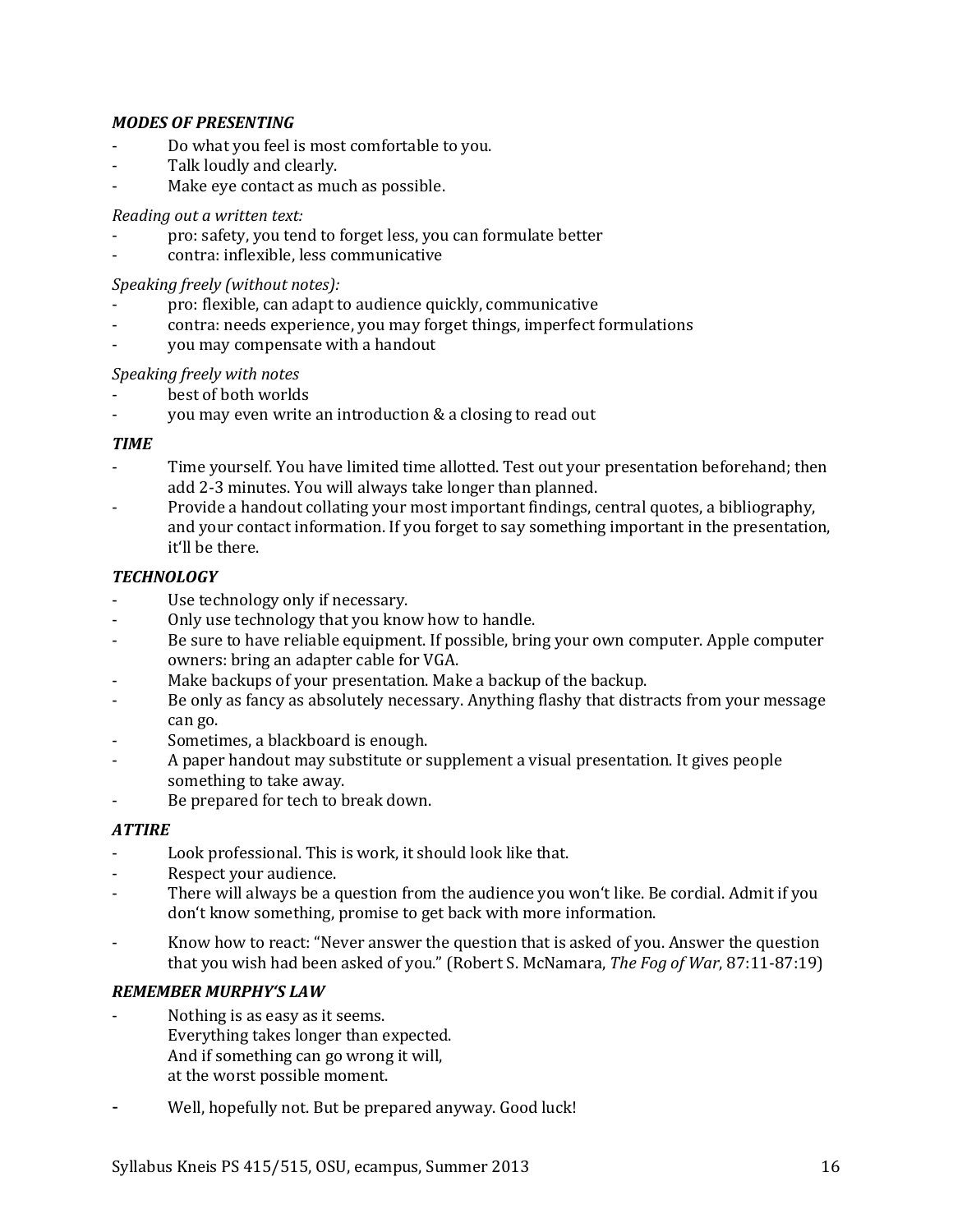#### *MODES OF PRESENTING*

- Do what you feel is most comfortable to you.
- Talk loudly and clearly.
- Make eye contact as much as possible.

#### *Reading out a written text:*

- pro: safety, you tend to forget less, you can formulate better
- contra: inflexible, less communicative

#### *Speaking freely (without notes):*

- pro: flexible, can adapt to audience quickly, communicative
- contra: needs experience, you may forget things, imperfect formulations
- you may compensate with a handout

#### *Speaking freely with notes*

- best of both worlds
- you may even write an introduction & a closing to read out

#### *TIME*

- Time yourself. You have limited time allotted. Test out your presentation beforehand; then add 2-3 minutes. You will always take longer than planned.
- Provide a handout collating your most important findings, central quotes, a bibliography, and your contact information. If you forget to say something important in the presentation, it'll be there.

#### *TECHNOLOGY*

- Use technology only if necessary.
- Only use technology that you know how to handle.
- Be sure to have reliable equipment. If possible, bring your own computer. Apple computer owners: bring an adapter cable for VGA.
- Make backups of your presentation. Make a backup of the backup.
- Be only as fancy as absolutely necessary. Anything flashy that distracts from your message can go.
- Sometimes, a blackboard is enough.
- A paper handout may substitute or supplement a visual presentation. It gives people something to take away.
- Be prepared for tech to break down.

### *ATTIRE*

- Look professional. This is work, it should look like that.
- Respect your audience.
- There will always be a question from the audience you won't like. Be cordial. Admit if you don't know something, promise to get back with more information.
- Know how to react: "Never answer the question that is asked of you. Answer the question that you wish had been asked of you." (Robert S. McNamara, *The Fog of War*, 87:11-87:19)

### *REMEMBER MURPHY'S LAW*

- Nothing is as easy as it seems. Everything takes longer than expected. And if something can go wrong it will, at the worst possible moment.
- Well, hopefully not. But be prepared anyway. Good luck!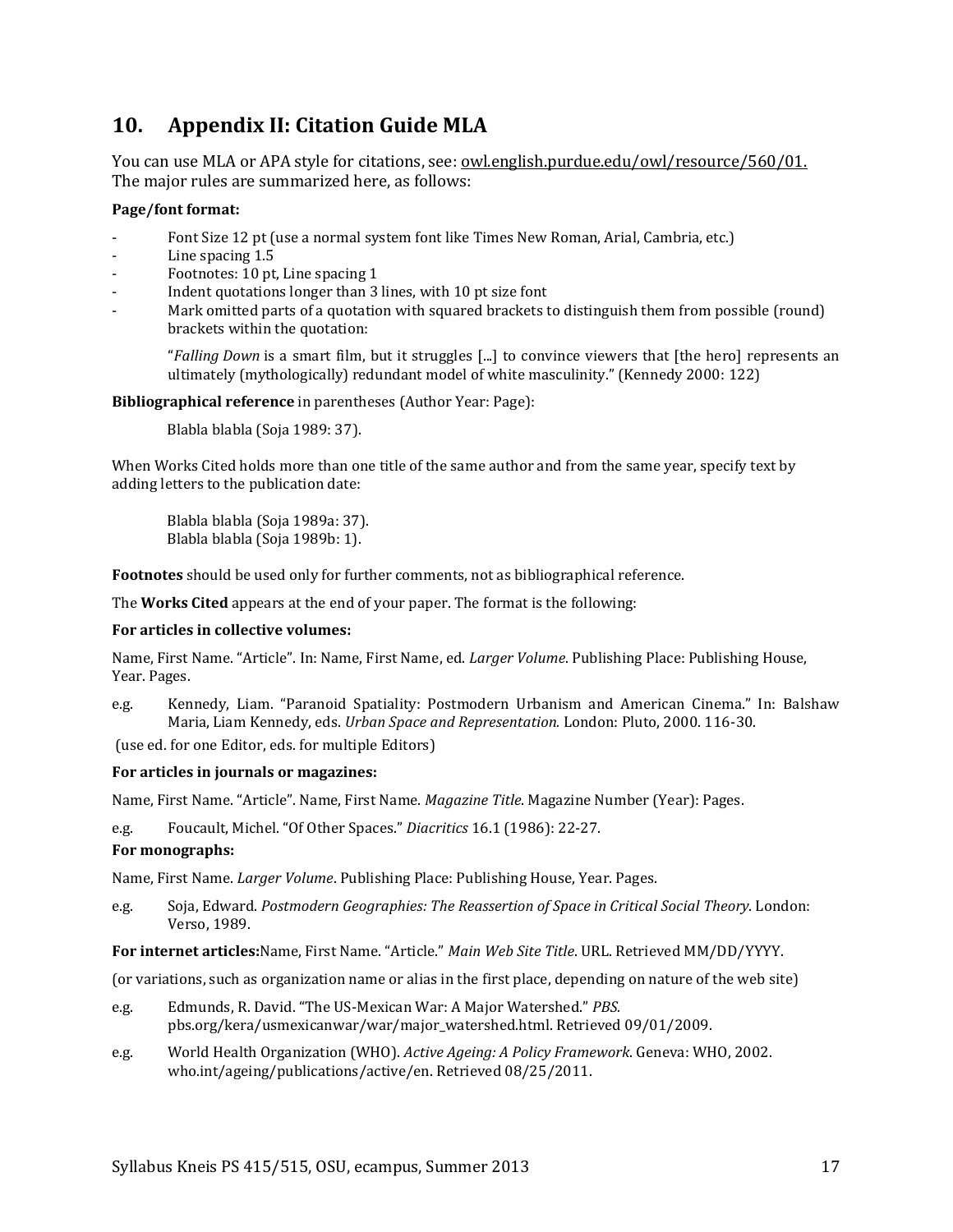# <span id="page-16-0"></span>**10. Appendix II: Citation Guide MLA**

You can use MLA or APA style for citations, see: <u>owl.english.purdue.edu/owl/resource/560/01.</u> The major rules are summarized here, as follows:

#### **Page/font format:**

- Font Size 12 pt (use a normal system font like Times New Roman, Arial, Cambria, etc.)
- Line spacing 1.5
- Footnotes: 10 pt, Line spacing 1
- Indent quotations longer than 3 lines, with 10 pt size font
- Mark omitted parts of a quotation with squared brackets to distinguish them from possible (round) brackets within the quotation:

"*Falling Down* is a smart film, but it struggles [...] to convince viewers that [the hero] represents an ultimately (mythologically) redundant model of white masculinity." (Kennedy 2000: 122)

**Bibliographical reference** in parentheses (Author Year: Page):

Blabla blabla (Soja 1989: 37).

When Works Cited holds more than one title of the same author and from the same year, specify text by adding letters to the publication date:

Blabla blabla (Soja 1989a: 37). Blabla blabla (Soja 1989b: 1).

**Footnotes** should be used only for further comments, not as bibliographical reference.

The **Works Cited** appears at the end of your paper. The format is the following:

#### **For articles in collective volumes:**

Name, First Name. "Article". In: Name, First Name, ed. *Larger Volume*. Publishing Place: Publishing House, Year. Pages.

e.g. Kennedy, Liam. "Paranoid Spatiality: Postmodern Urbanism and American Cinema." In: Balshaw Maria, Liam Kennedy, eds. *Urban Space and Representation.* London: Pluto, 2000. 116-30.

(use ed. for one Editor, eds. for multiple Editors)

#### **For articles in journals or magazines:**

Name, First Name. "Article". Name, First Name. *Magazine Title*. Magazine Number (Year): Pages.

e.g. Foucault, Michel. "Of Other Spaces." *Diacritics* 16.1 (1986): 22-27.

#### **For monographs:**

Name, First Name. *Larger Volume*. Publishing Place: Publishing House, Year. Pages.

e.g. Soja, Edward. *Postmodern Geographies: The Reassertion of Space in Critical Social Theory*. London: Verso, 1989.

**For internet articles:**Name, First Name. "Article." *Main Web Site Title*. URL. Retrieved MM/DD/YYYY.

(or variations, such as organization name or alias in the first place, depending on nature of the web site)

- e.g. Edmunds, R. David. "The US-Mexican War: A Major Watershed." *PBS.*  pbs.org/kera/usmexicanwar/war/major\_watershed.html. Retrieved 09/01/2009.
- e.g. World Health Organization (WHO). *Active Ageing: A Policy Framework*. Geneva: WHO, 2002. who.int/ageing/publications/active/en. Retrieved 08/25/2011.